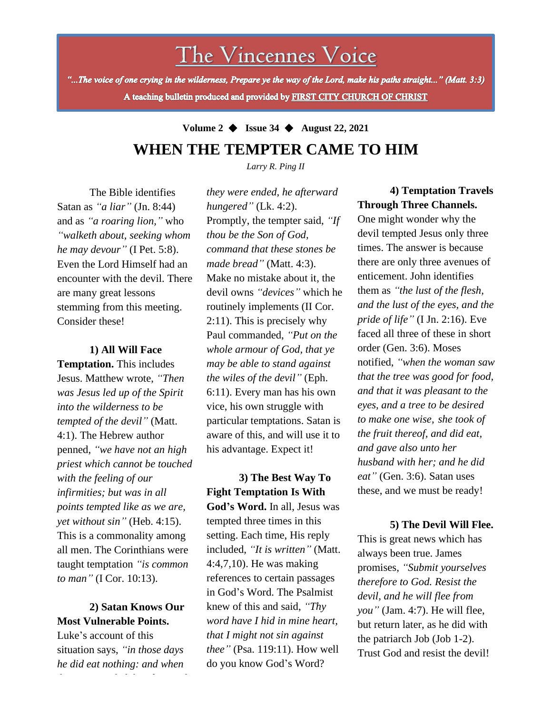The Vincennes Voice

"...The voice of one crying in the wilderness, Prepare ye the way of the Lord, make his paths straight..." (Matt. 3:3) A teaching bulletin produced and provided by FIRST CITY CHURCH OF CHRIST

**Volume 2** ◆ **Issue 34** ◆ **August 22, 2021**

# **WHEN THE TEMPTER CAME TO HIM**

*Larry R. Ping II*

The Bible identifies Satan as *"a liar"* (Jn. 8:44) and as *"a roaring lion,"* who *"walketh about, seeking whom he may devour"* (I Pet. 5:8). Even the Lord Himself had an encounter with the devil. There are many great lessons stemming from this meeting. Consider these!

#### **1) All Will Face**

**Temptation.** This includes Jesus. Matthew wrote, *"Then was Jesus led up of the Spirit into the wilderness to be tempted of the devil"* (Matt. 4:1). The Hebrew author penned, *"we have not an high priest which cannot be touched with the feeling of our infirmities; but was in all points tempted like as we are, yet without sin"* (Heb. 4:15). This is a commonality among all men. The Corinthians were taught temptation *"is common to man"* (I Cor. 10:13).

## **Most Vulnerable Points. 2) Satan Knows Our**

Luke's account of this situation says, *"in those days he did eat nothing: and when* *they were ended, he afterward hungered"* (Lk. 4:2). Promptly, the tempter said, *"If thou be the Son of God, command that these stones be made bread"* (Matt. 4:3). Make no mistake about it, the devil owns *"devices"* which he routinely implements (II Cor. 2:11). This is precisely why Paul commanded, *"Put on the whole armour of God, that ye may be able to stand against the wiles of the devil"* (Eph. 6:11). Every man has his own vice, his own struggle with particular temptations. Satan is aware of this, and will use it to his advantage. Expect it!

**3) The Best Way To Fight Temptation Is With God's Word.** In all, Jesus was tempted three times in this setting. Each time, His reply included, *"It is written"* (Matt. 4:4,7,10). He was making references to certain passages in God's Word. The Psalmist knew of this and said, *"Thy word have I hid in mine heart, that I might not sin against thee"* (Psa. 119:11). How well do you know God's Word?

## **4) Temptation Travels Through Three Channels.**

One might wonder why the devil tempted Jesus only three times. The answer is because there are only three avenues of enticement. John identifies them as *"the lust of the flesh, and the lust of the eyes, and the pride of life"* (I Jn. 2:16). Eve faced all three of these in short order (Gen. 3:6). Moses notified, *"when the woman saw that the tree was good for food, and that it was pleasant to the eyes, and a tree to be desired to make one wise, she took of the fruit thereof, and did eat, and gave also unto her husband with her; and he did eat"* (Gen. 3:6). Satan uses these, and we must be ready!

### **5) The Devil Will Flee.**

This is great news which has always been true. James promises, *"Submit yourselves therefore to God. Resist the devil, and he will flee from you"* (Jam. 4:7). He will flee, but return later, as he did with the patriarch Job (Job 1-2). Trust God and resist the devil!